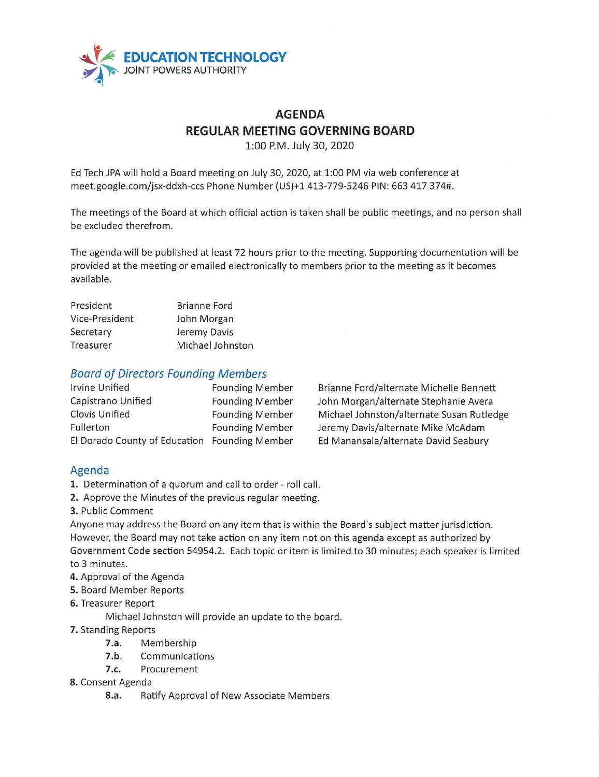

# **AGENDA REGULAR MEETING GOVERNING BOARD**

1:00 P.M. July 30, 2020

Ed Tech JPA will hold a Board meeting on July 30, 2020, at 1:00 PM via web conference at meet.google.com/jsx-ddxh-ccs Phone Number (US)+l 413-779-5246 PIN: 663 417 374#.

The meetings of the Board at which official action is taken shall be public meetings, and no person shall be excluded therefrom.

The agenda will be published at least 72 hours prior to the meeting. Supporting documentation will be provided at the meeting or emailed electronically to members prior to the meeting as it becomes available.

| President      | <b>Brianne Ford</b> |  |
|----------------|---------------------|--|
| Vice-President | John Morgan         |  |
| Secretary      | Jeremy Davis        |  |
| Treasurer      | Michael Johnston    |  |

#### Board of Directors Founding Members

| <b>Irvine Unified</b>         | <b>Founding Member</b> |
|-------------------------------|------------------------|
| Capistrano Unified            | <b>Founding Member</b> |
| <b>Clovis Unified</b>         | <b>Founding Member</b> |
| Fullerton                     | <b>Founding Member</b> |
| El Dorado County of Education | <b>Founding Member</b> |

Brianne Ford/alternate Michelle Bennett John Morgan/alternate Stephanie Avera Michael Johnston/alternate Susan Rutledge Jeremy Davis/alternate Mike McAdam Ed Manansala/alternate David Seabury

## Agenda

- **1.** Determination of a quorum and call to order roll call.
- 2. Approve the Minutes of the previous regular meeting.
- **3.** Public Comment

Anyone may address the Board on any item that is within the Board's subject matter jurisdiction. However, the Board may not take action on any item not on this agenda except as authorized by Government Code section 54954.2. Each topic or item is limited to 30 minutes; each speaker is limited to 3 minutes.

- **4.** Approval of the Agenda
- **5.** Board Member Reports
- **6.** Treasurer Report

Michael Johnston will provide an update to the board.

**7.** Standing Reports

- **7.a.** Membership
- **7.b.** Communications
- **7.c.** Procurement
- **8.** Consent Agenda
	- 8.a. Ratify Approval of New Associate Members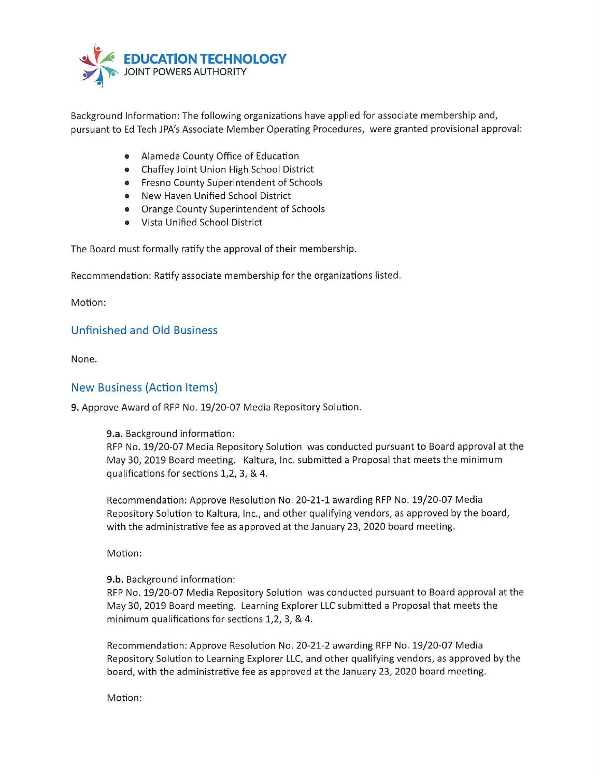

Background Information: The following organizations have applied for associate membership and, pursuant to Ed Tech JPA's Associate Member Operating Procedures, were granted provisional approval:

- Alameda County Office of Education
- Chaffey Joint Union High School District
- Fresno County Superintendent of Schools
- New Haven Unified School District
- Orange County Superintendent of Schools
- Vista Unified School District

The Board must formally ratify the approval of their membership.

Recommendation: Ratify associate membership for the organizations listed.

Motion:

### Unfinished and Old Business

None.

#### New Business (Action Items)

**9.** Approve Award of RFP No. 19/20-07 Media Repository Solution.

#### **9.a.** Background information:

RFP No. 19/20-07 Media Repository Solution was conducted pursuant to Board approval at the May 30, 2019 Board meeting. Kaltura, Inc. submitted a Proposal that meets the minimum qualifications for sections 1,2, 3, & 4.

Recommendation: Approve Resolution No. 20-21-1 awarding RFP No. 19/20-07 Media Repository Solution to Kaltura, Inc., and other qualifying vendors, as approved by the board, with the administrative fee as approved at the January 23, 2020 board meeting.

Motion:

**9.b.** Background information:

RFP No. 19/20-07 Media Repository Solution was conducted pursuant to Board approval at the May 30, 2019 Board meeting. Learning Explorer LLC submitted a Proposal that meets the minimum qualifications for sections 1,2, 3, & 4.

Recommendation: Approve Resolution No. 20-21-2 awarding RFP No. 19/20-07 Media Repository Solution to Learning Explorer LLC, and other qualifying vendors, as approved by the board, with the administrative fee as approved at the January 23, 2020 board meeting.

Motion: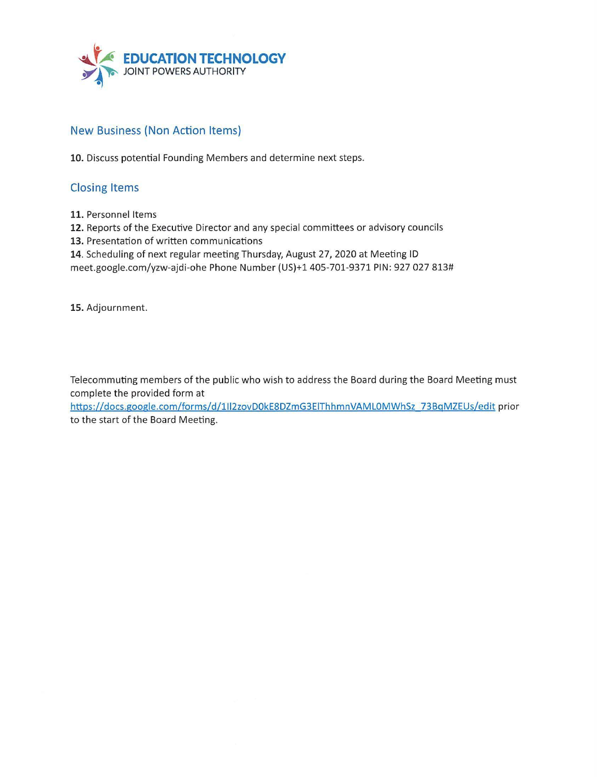

## New Business (Non Action Items)

**10.** Discuss potential Founding Members and determine next steps.

## Closing Items

**11.** Personnel Items

**12.** Reports of the Executive Director and any special committees or advisory councils

**13.** Presentation of written communications

**14.** Scheduling of next regular meeting Thursday, August 27, 2020 at Meeting ID

meet.google.com/yzw-ajdi-ohe Phone Number (US)+l 405-701-9371 PIN: 927 027 813#

**15.** Adjournment.

Telecommuting members of the public who wish to address the Board during the Board Meeting must complete the provided form at

https://docs.google.com/forms/d/1II2zovD0kE8DZmG3EIThhmnVAML0MWhSz\_73BqMZEUs/edit prior to the start of the Board Meeting.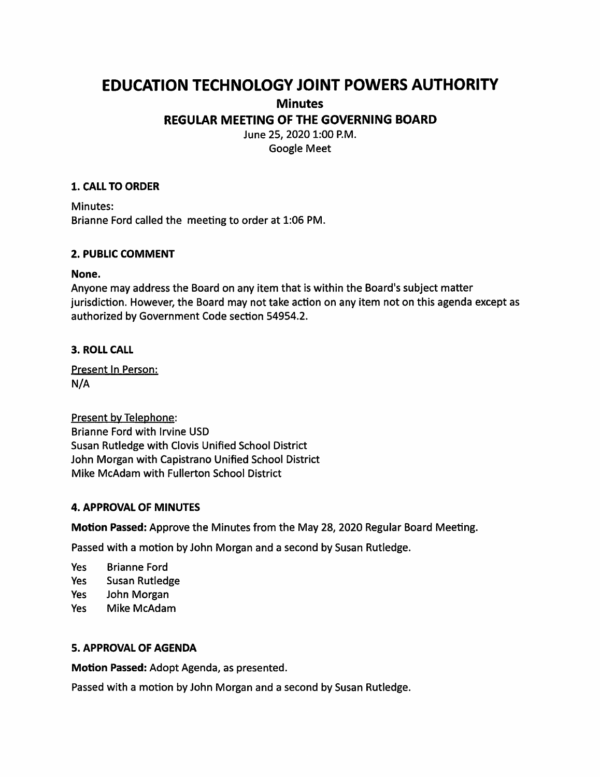# **EDUCATION TECHNOLOGY JOINT POWERS AUTHORITY Minutes REGULAR MEETING OF THE GOVERNING BOARD**

June 25, 2020 1:00 P.M. Google Meet

#### **1. CALL TO ORDER**

Minutes: Brianne Ford called the meeting to order at 1:06 PM.

#### **2. PUBLIC COMMENT**

#### **None.**

Anyone may address the Board on any item that is within the Board's subject matter jurisdiction. However, the Board may not take action on any item not on this agenda except as authorized by Government Code section 54954.2.

#### **3. ROLL CALL**

Present In Person: N/A

Present by Telephone: Brianne Ford with Irvine USD Susan Rutledge with Clovis Unified School District John Morgan with Capistrano Unified School District Mike McAdam with Fullerton School District

#### **4. APPROVAL OF MINUTES**

**Motion Passed:** Approve the Minutes from the May 28, 2020 Regular Board Meeting.

Passed with a motion by John Morgan and a second by Susan Rutledge.

Yes Brianne Ford

- Yes Susan Rutledge
- Yes John Morgan
- Yes Mike McAdam

#### **S. APPROVAL OF AGENDA**

**Motion Passed:** Adopt Agenda, as presented.

Passed with a motion by John Morgan and a second by Susan Rutledge.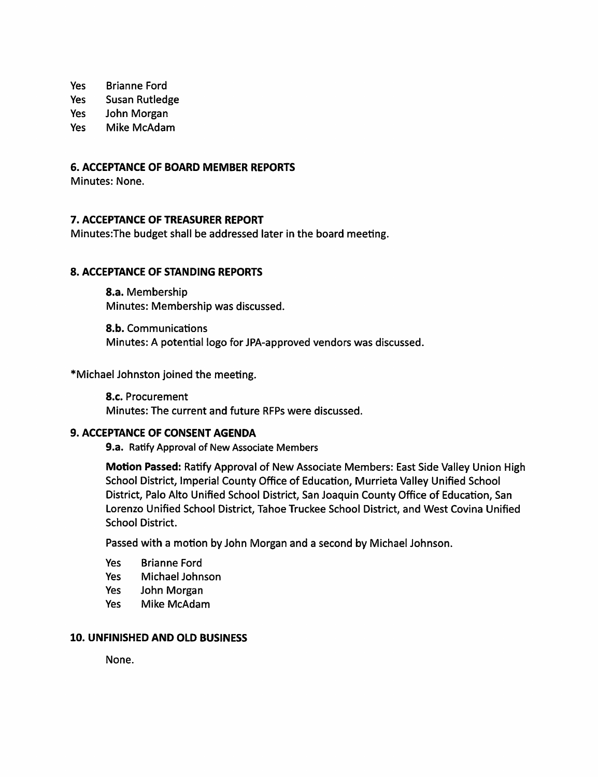Yes Brianne Ford

Yes Susan Rutledge

Yes John Morgan

Yes Mike McAdam

#### **6. ACCEPTANCE OF BOARD MEMBER REPORTS**

Minutes: None.

### **7. ACCEPTANCE OF TREASURER REPORT**

Minutes:The budget shall be addressed later in the board meeting.

#### **8. ACCEPTANCE OF STANDING REPORTS**

**8.a.** Membership Minutes: Membership was discussed.

**8.b.** Communications Minutes: A potential logo for JPA-approved vendors was discussed.

\*Michael Johnston joined the meeting.

**8.c.** Procurement Minutes: The current and future RFPs were discussed.

#### **9. ACCEPTANCE OF CONSENT AGENDA**

**9.a.** Ratify Approval of New Associate Members

**Motion Passed:** Ratify Approval of New Associate Members: East Side Valley Union High School District, Imperial County Office of Education, Murrieta Valley Unified School District, Palo Alto Unified School District, San Joaquin County Office of Education, San Lorenzo Unified School District, Tahoe Truckee School District, and West Covina Unified School District.

Passed with a motion by John Morgan and a second by Michael Johnson.

- Yes Brianne Ford
- Yes Michael Johnson
- Yes John Morgan
- Yes Mike McAdam

#### **10. UNFINISHED AND OLD BUSINESS**

None.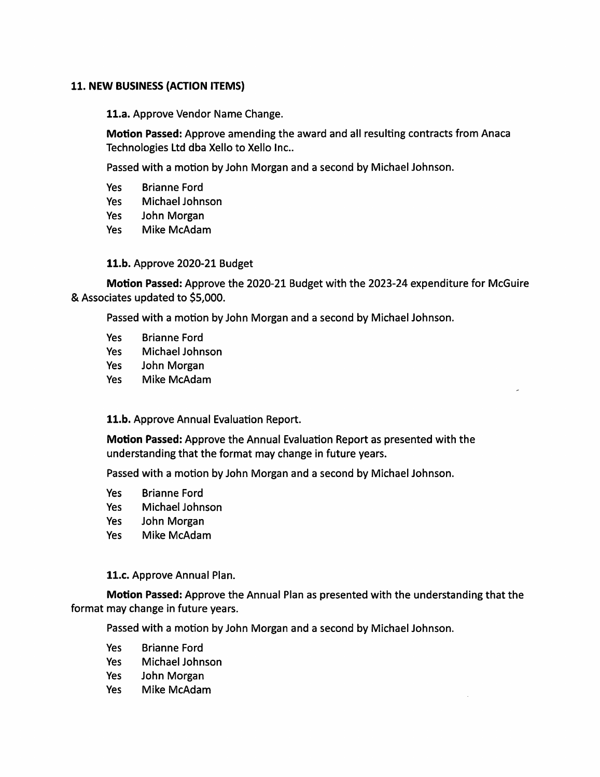#### **11. NEW BUSINESS (ACTION ITEMS)**

**11.a.** Approve Vendor Name Change.

**Motion Passed:** Approve amending the award and all resulting contracts from Anaca Technologies Ltd dba Xello to Xello Inc..

Passed with a motion by John Morgan and a second by Michael Johnson.

- Yes Brianne Ford
- Yes Michael Johnson
- Yes John Morgan
- Yes Mike McAdam

#### **11.b.** Approve 2020-21 Budget

**Motion Passed:** Approve the 2020-21 Budget with the 2023-24 expenditure for McGuire & Associates updated to \$5,000.

Passed with a motion by John Morgan and a second by Michael Johnson.

- Yes Brianne Ford
- Yes Michael Johnson
- Yes John Morgan
- Yes Mike McAdam

#### **11.b.** Approve Annual Evaluation Report.

**Motion Passed:** Approve the Annual Evaluation Report as presented with the understanding that the format may change in future years.

Passed with a motion by John Morgan and a second by Michael Johnson.

- Yes Brianne Ford
- Yes Michael Johnson
- Yes John Morgan
- Yes Mike McAdam

#### **11.c.** Approve Annual Plan.

**Motion Passed:** Approve the Annual Plan as presented with the understanding that the format may change in future years.

Passed with a motion by John Morgan and a second by Michael Johnson.

- Yes Brianne Ford
- Yes Michael Johnson
- Yes John Morgan
- Yes Mike McAdam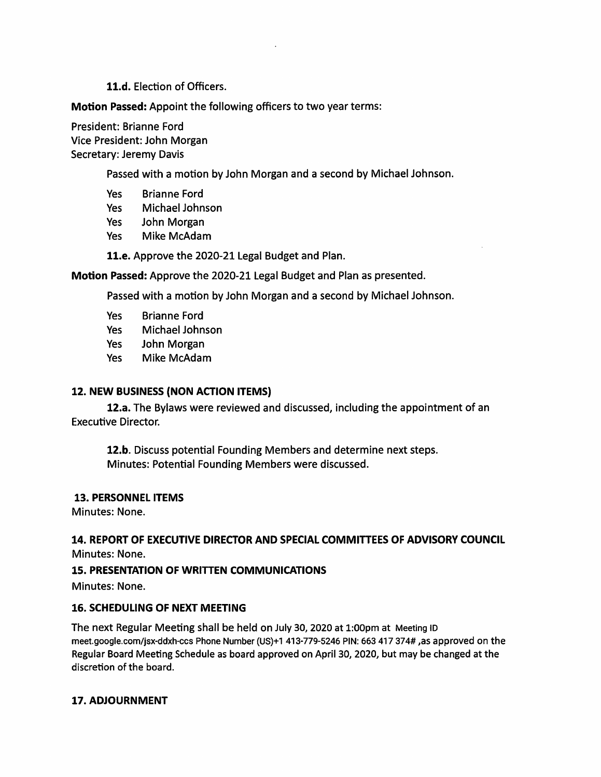#### **11.d.** Election of Officers.

**Motion Passed:** Appoint the following officers to two year terms:

President: Brianne Ford Vice President: John Morgan Secretary: Jeremy Davis

Passed with a motion by John Morgan and a second by Michael Johnson.

- Yes Brianne Ford
- Yes Michael Johnson
- Yes John Morgan
- Yes Mike McAdam

**11.e.** Approve the 2020-21 Legal Budget and Plan.

**Motion Passed:** Approve the 2020-21 Legal Budget and Plan as presented.

Passed with a motion by John Morgan and a second by Michael Johnson.

- Yes Brianne Ford
- Yes Michael Johnson
- Yes John Morgan
- Yes Mike McAdam

#### **12. NEW BUSINESS (NON ACTION ITEMS)**

**12.a.** The Bylaws were reviewed and discussed, including the appointment of an Executive Director.

**12.b.** Discuss potential Founding Members and determine next steps. Minutes: Potential Founding Members were discussed.

#### **13. PERSONNEL ITEMS**

Minutes: None.

#### **14. REPORT OF EXECUTIVE DIRECTOR AND SPECIAL COMMITTEES OF ADVISORY COUNCIL**  Minutes: None.

#### **15. PRESENTATION OF WRITTEN COMMUNICATIONS**

Minutes: None.

#### **16. SCHEDULING OF NEXT MEETING**

The next Regular Meeting shall be held on July 30, 2020 at 1:00pm at Meeting ID meet.google.com/jsx-ddxh-ccs Phone Number (US)+1 413-779-5246 PIN: 663 417 374# ,as approved on the Regular Board Meeting Schedule as board approved on April 30, 2020, but may be changed at the discretion of the board.

#### **17. ADJOURNMENT**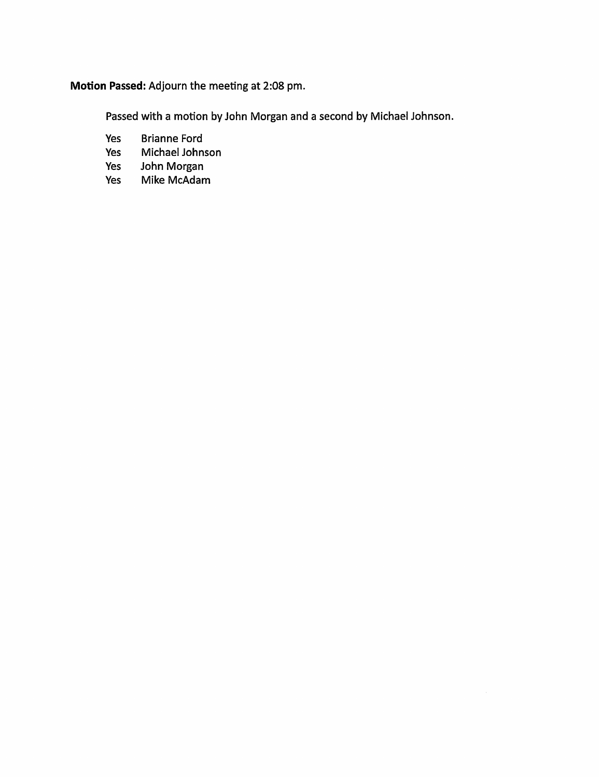## **Motion Passed:** Adjourn the meeting at 2:08 pm.

Passed with a motion by John Morgan and a second by Michael Johnson.

- Yes Brianne Ford
- Yes Michael Johnson
- Yes John Morgan
- Yes Mike McAdam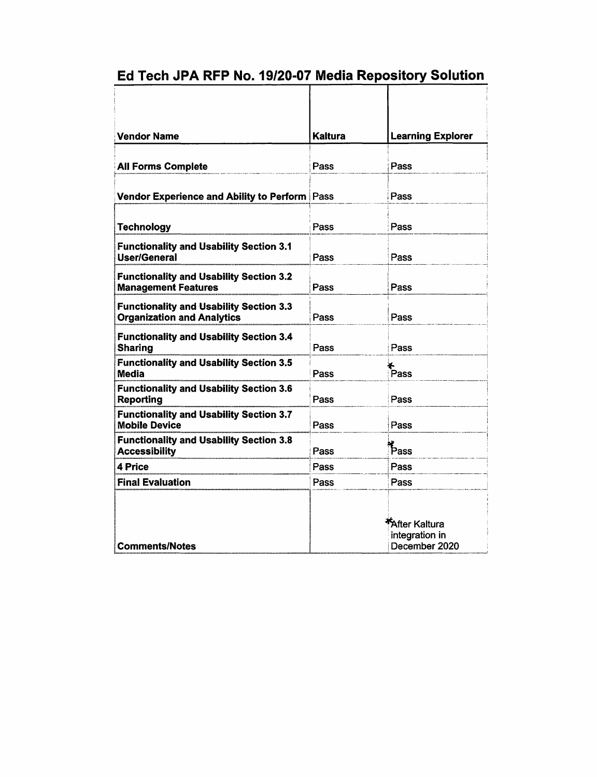# Ed Tech **JPA RFP No.** 19/20-07 Media Repository Solution

| <b>Vendor Name</b>                                                                  | Kaltura | <b>Learning Explorer</b>                         |
|-------------------------------------------------------------------------------------|---------|--------------------------------------------------|
| <b>All Forms Complete</b>                                                           | Pass    | Pass                                             |
| Vendor Experience and Ability to Perform   Pass                                     |         | Pass                                             |
| <b>Technology</b>                                                                   | Pass    | Pass                                             |
| <b>Functionality and Usability Section 3.1</b><br>User/General                      | Pass    | Pass                                             |
| <b>Functionality and Usability Section 3.2</b><br><b>Management Features</b>        | Pass    | Pass                                             |
| <b>Functionality and Usability Section 3.3</b><br><b>Organization and Analytics</b> | Pass    | Pass                                             |
| <b>Functionality and Usability Section 3.4</b><br>Sharing                           | Pass    | Pass                                             |
| <b>Functionality and Usability Section 3.5</b><br>Media                             | Pass    | .<br>Pass                                        |
| <b>Functionality and Usability Section 3.6</b><br><b>Reporting</b>                  | Pass    | Pass                                             |
| <b>Functionality and Usability Section 3.7</b><br><b>Mobile Device</b>              | Pass    | Pass                                             |
| <b>Functionality and Usability Section 3.8</b><br><b>Accessibility</b>              | Pass    | $F_{\text{ass}}$                                 |
| 4 Price                                                                             | Pass    | Pass                                             |
| <b>Final Evaluation</b>                                                             | Pass    | Pass                                             |
| <b>Comments/Notes</b>                                                               |         | After Kaltura<br>integration in<br>December 2020 |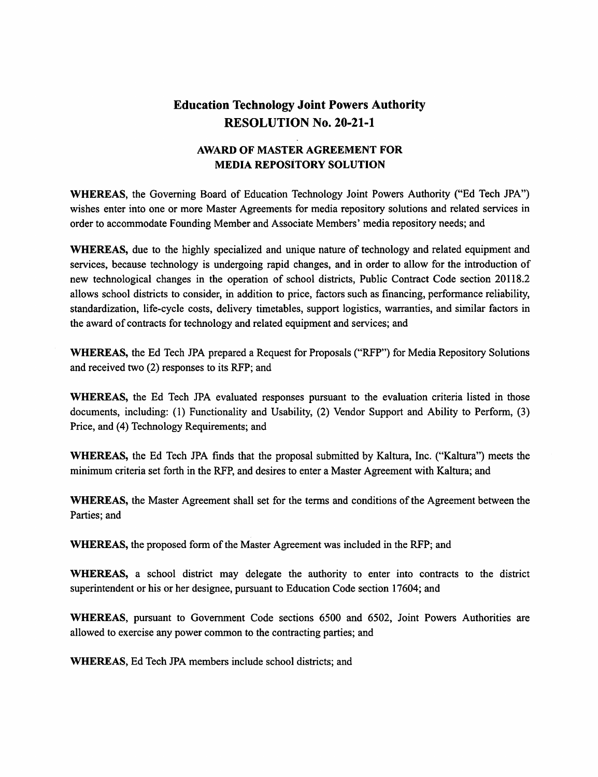## **Education Technology Joint Powers Authority RESOLUTION No. 20-21-1**

## **AWARD OF MASTER AGREEMENT FOR MEDIA REPOSiTORY SOLUTION**

**WHEREAS,** the Governing Board of Education Technology Joint Powers Authority ("Ed Tech JPA") wishes enter into one or more Master Agreements for media repository solutions and related services in order to accommodate Founding Member and Associate Members' media repository needs; and

**WHEREAS,** due to the highly specialized and unique nature of technology and related equipment and services, because technology is undergoing rapid changes, and in order to allow for the introduction of new technological changes in the operation of school districts, Public Contract Code section 20118.2 allows school districts to consider, in addition to price, factors such as financing, perfonnance reliability, standardization, life-cycle costs, delivery timetables, support logistics, warranties, and similar factors in the award of contracts for technology and related equipment and services; and

**WHEREAS,** the Ed Tech JPA prepared a Request for Proposals ("RFP") for Media Repository Solutions and received two (2) responses to its RFP; and

**WHEREAS,** the Ed Tech JPA evaluated responses pursuant to the evaluation criteria listed in those documents, including: (I) Functionality and Usability, (2) Vendor Support and Ability to Perfonn, (3) Price, and (4) Technology Requirements; and

**WHEREAS,** the Ed Tech JPA finds that the proposal submitted by Kaltura, Inc. ("Kaltura") meets the minimum criteria set forth in the RFP, and desires to enter a Master Agreement with Kaltura; and

**WHEREAS,** the Master Agreement shall set for the terms and conditions of the Agreement between the Parties; and

**WHEREAS,** the proposed form of the Master Agreement was included in the RFP; and

**WHEREAS,** a school district may delegate the authority to enter into contracts to the district superintendent or his or her designee, pursuant to Education Code section 17604; and

**WHEREAS,** pursuant to Government Code sections 6500 and 6502, Joint Powers Authorities are allowed to exercise any power common to the contracting parties; and

**WHEREAS,** Ed Tech JPA members include school districts; and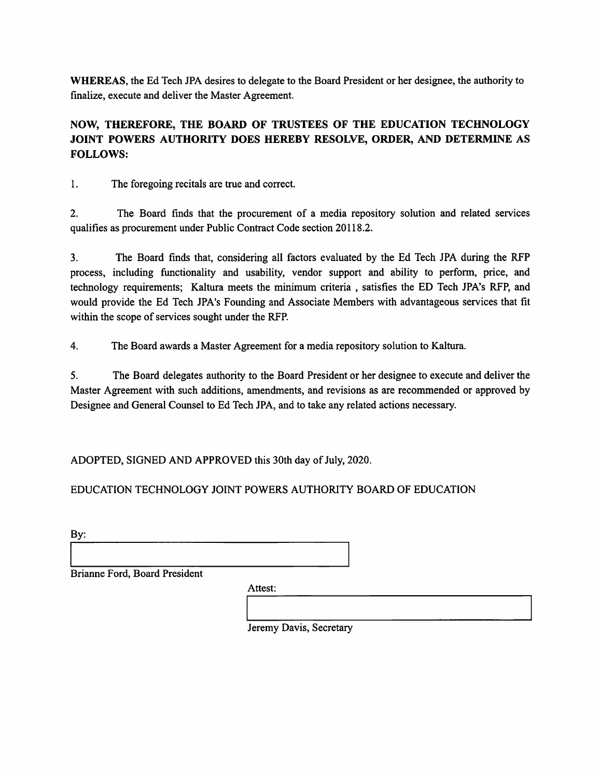**WHEREAS,** the Ed Tech JPA desires to delegate to the Board President or her designee, the authority to finalize, execute and deliver the Master Agreement.

## **NOW, THEREFORE, THE BOARD OF TRUSTEES OF THE EDUCATION TECHNOLOGY JOINT POWERS AUTHORITY DOES HEREBY RESOLVE, ORDER, AND DETERMINE AS FOLLOWS:**

1. The foregoing recitals are true and correct.

2. The Board finds that the procurement of a media repository solution and related services qualifies as procurement under Public Contract Code section 20118.2.

3. The Board finds that, considering all factors evaluated by the Ed Tech JPA during the RFP process, including functionality and usability, vendor support and ability to perform, price, and technology requirements; Kaltura meets the minimum criteria , satisfies the ED Tech JPA's RFP, and would provide the Ed Tech JPA's Founding and Associate Members with advantageous services that fit within the scope of services sought under the RFP.

4. The Board awards a Master Agreement for a media repository solution to Kaltura.

5. The Board delegates authority to the Board President or her designee to execute and deliver the Master Agreement with such additions, amendments, and revisions as are recommended or approved by Designee and General Counsel to Ed Tech JPA, and to take any related actions necessary.

ADOPTED, SIGNED AND APPROVED this 30th day of July, 2020.

EDUCATION TECHNOLOGY JOINT POWERS AUTHORITY BOARD OF EDUCATION

| By: |
|-----|
|-----|

Brianne Ford, Board President

Attest:

Jeremy Davis, Secretary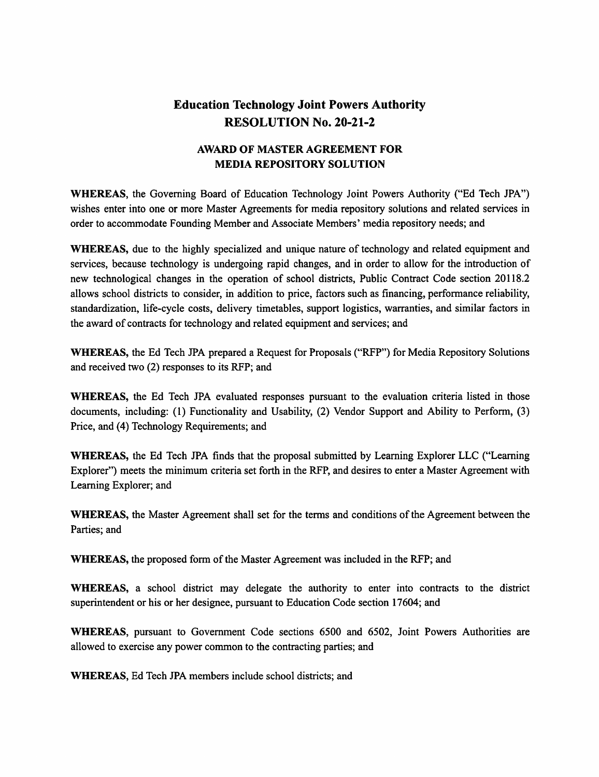## **Education Technology Joint Powers Authority RESOLUTION No. 20-21-2**

## **AWARD OF MASTER AGREEMENT FOR MEDIA REPOSITORY SOLUTION**

**WHEREAS,** the Governing Board of Education Technology Joint Powers Authority ("Ed Tech JPA") wishes enter into one or more Master Agreements for media repository solutions and related services in order to accommodate Founding Member and Associate Members' media repository needs; and

**WHEREAS,** due to the highly specialized and unique nature of technology and related equipment and services, because technology is undergoing rapid changes, and in order to allow for the introduction of new technological changes in the operation of school districts, Public Contract Code section 20118.2 allows school districts to consider, in addition to price, factors such as financing, performance reliability, standardization, life-cycle costs, delivery timetables, support logistics, warranties, and similar factors in the award of contracts for technology and related equipment and services; and

**WHEREAS,** the Ed Tech JPA prepared a Request for Proposals ("RFP") for Media Repository Solutions and received two (2) responses to its RFP; and

**WHEREAS,** the Ed Tech JPA evaluated responses pursuant to the evaluation criteria listed in those documents, including: (1) Functionality and Usability, (2) Vendor Support and Ability to Perform, (3) Price, and (4) Technology Requirements; and

**WHEREAS,** the Ed Tech JPA finds that the proposal submitted by Leaming Explorer LLC ("Leaming Explorer") meets the minimum criteria set forth in the RFP, and desires to enter a Master Agreement with Leaming Explorer; and

**WHEREAS,** the Master Agreement shall set for the terms and conditions of the Agreement between the Parties; and

**WHEREAS,** the proposed form of the Master Agreement was included in the RFP; and

**WHEREAS,** a school district may delegate the authority to enter into contracts to the district superintendent or his or her designee, pursuant to Education Code section 17604; and

**WHEREAS,** pursuant to Government Code sections 6500 and 6502, Joint Powers Authorities are allowed to exercise any power common to the contracting parties; and

**WHEREAS,** Ed Tech JPA members include school districts; and